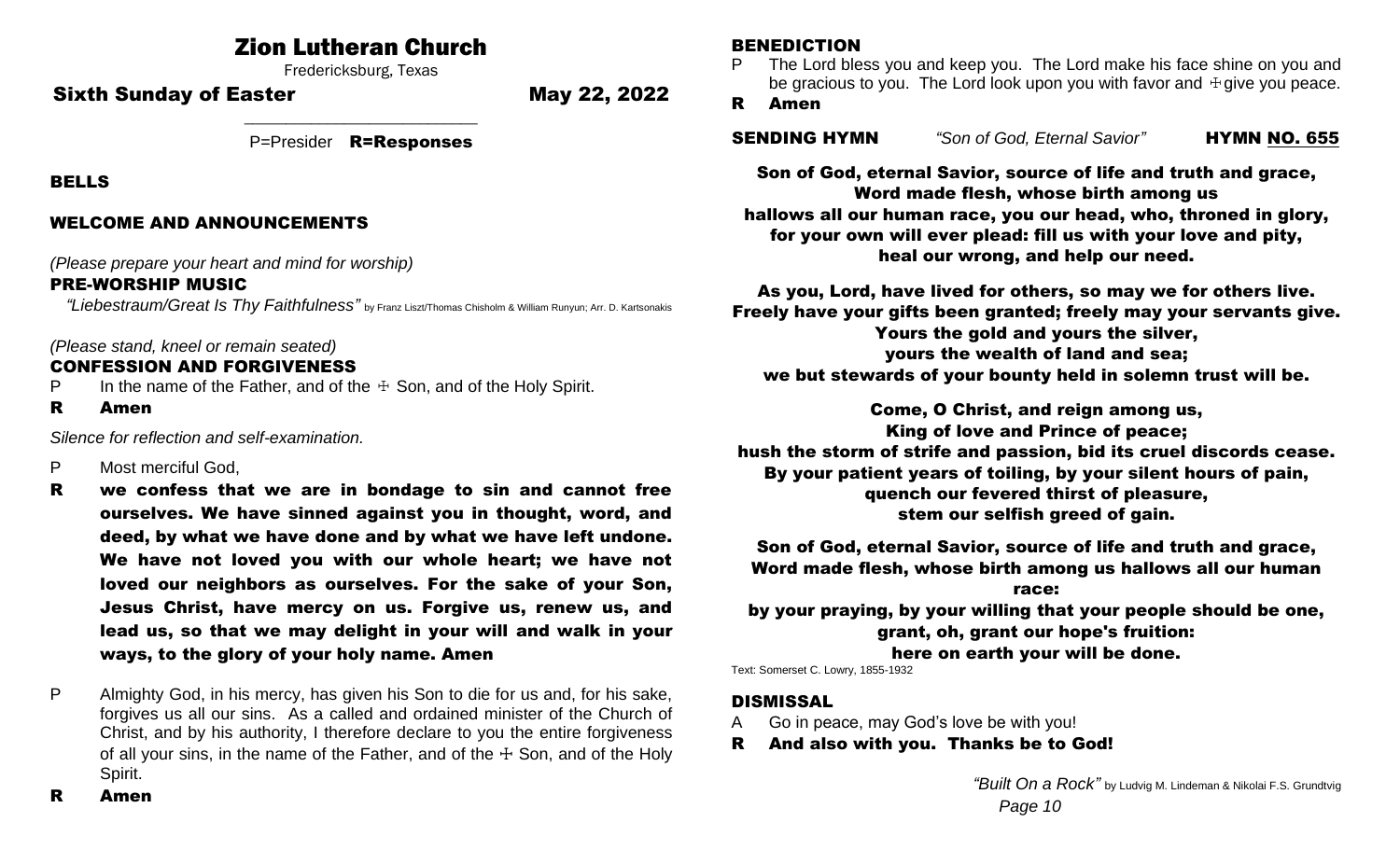# Zion Lutheran Church

Fredericksburg, Texas

Sixth Sunday of Easter May 22, 2022

\_\_\_\_\_\_\_\_\_\_\_\_\_\_\_\_\_\_\_\_\_\_\_\_\_\_\_\_ P=Presider R=Responses

BELLS

# WELCOME AND ANNOUNCEMENTS

*(Please prepare your heart and mind for worship)*

# PRE-WORSHIP MUSIC

*"Liebestraum/Great Is Thy Faithfulness"* by Franz Liszt/Thomas Chisholm & William Runyun; Arr. D. Kartsonakis

# *(Please stand, kneel or remain seated)*

# CONFESSION AND FORGIVENESS

- P In the name of the Father, and of the  $\pm$  Son, and of the Holy Spirit.
- R Amen

*Silence for reflection and self-examination.*

- P Most merciful God,
- R we confess that we are in bondage to sin and cannot free ourselves. We have sinned against you in thought, word, and deed, by what we have done and by what we have left undone. We have not loved you with our whole heart; we have not loved our neighbors as ourselves. For the sake of your Son, Jesus Christ, have mercy on us. Forgive us, renew us, and lead us, so that we may delight in your will and walk in your ways, to the glory of your holy name. Amen
- P Almighty God, in his mercy, has given his Son to die for us and, for his sake, forgives us all our sins. As a called and ordained minister of the Church of Christ, and by his authority, I therefore declare to you the entire forgiveness of all your sins, in the name of the Father, and of the  $\pm$  Son, and of the Holy Spirit.

#### BENEDICTION

P The Lord bless you and keep you. The Lord make his face shine on you and be gracious to you. The Lord look upon you with favor and  $\dagger$  give you peace.

# R Amen

| <b>SENDING HYMN</b> | "Son of God, Eternal Savior" | <b>HYMN NO. 655</b> |
|---------------------|------------------------------|---------------------|
|                     |                              |                     |

Son of God, eternal Savior, source of life and truth and grace, Word made flesh, whose birth among us hallows all our human race, you our head, who, throned in glory, for your own will ever plead: fill us with your love and pity, heal our wrong, and help our need.

As you, Lord, have lived for others, so may we for others live. Freely have your gifts been granted; freely may your servants give. Yours the gold and yours the silver, yours the wealth of land and sea; we but stewards of your bounty held in solemn trust will be.

Come, O Christ, and reign among us, King of love and Prince of peace; hush the storm of strife and passion, bid its cruel discords cease. By your patient years of toiling, by your silent hours of pain, quench our fevered thirst of pleasure, stem our selfish greed of gain.

Son of God, eternal Savior, source of life and truth and grace, Word made flesh, whose birth among us hallows all our human

race: by your praying, by your willing that your people should be one, grant, oh, grant our hope's fruition: here on earth your will be done.

Text: Somerset C. Lowry, 1855-1932

# DISMISSAL

- A Go in peace, may God's love be with you!
- R And also with you. Thanks be to God!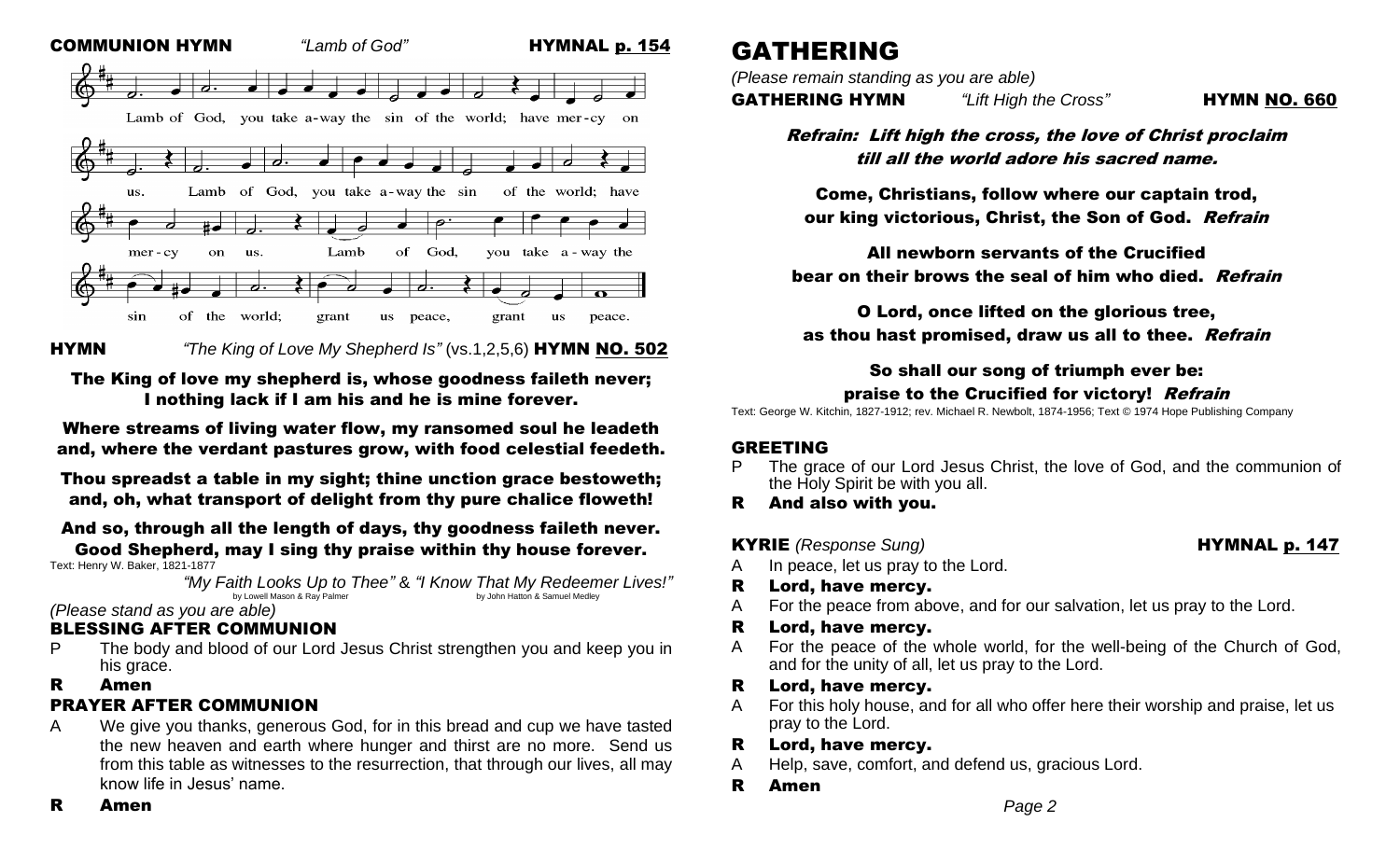

# HYMN*"The King of Love My Shepherd Is"* (vs.1,2,5,6) HYMN NO. 502

# The King of love my shepherd is, whose goodness faileth never; I nothing lack if I am his and he is mine forever.

Where streams of living water flow, my ransomed soul he leadeth and, where the verdant pastures grow, with food celestial feedeth.

Thou spreadst a table in my sight; thine unction grace bestoweth; and, oh, what transport of delight from thy pure chalice floweth!

# And so, through all the length of days, thy goodness faileth never.

#### Good Shepherd, may I sing thy praise within thy house forever. Text: Henry W. Baker, 1821-1877

*"My Faith Looks Up to Thee"* & *"I Know That My Redeemer Lives!"* by Lowell Mason & Ray Palmer

#### *(Please stand as you are able)*

# BLESSING AFTER COMMUNION

P The body and blood of our Lord Jesus Christ strengthen you and keep you in his grace.

#### R Amen

# PRAYER AFTER COMMUNION

A We give you thanks, generous God, for in this bread and cup we have tasted the new heaven and earth where hunger and thirst are no more. Send us from this table as witnesses to the resurrection, that through our lives, all may know life in Jesus' name.

# GATHERING

*(Please remain standing as you are able)*

GATHERING HYMN *"Lift High the Cross"* HYMN NO. 660

Refrain: Lift high the cross, the love of Christ proclaim till all the world adore his sacred name.

Come, Christians, follow where our captain trod, our king victorious, Christ, the Son of God. Refrain

All newborn servants of the Crucified bear on their brows the seal of him who died. Refrain

O Lord, once lifted on the glorious tree, as thou hast promised, draw us all to thee. Refrain

# So shall our song of triumph ever be: praise to the Crucified for victory! Refrain

Text: George W. Kitchin, 1827-1912; rev. Michael R. Newbolt, 1874-1956; Text © 1974 Hope Publishing Company

# GREETING

- The grace of our Lord Jesus Christ, the love of God, and the communion of the Holy Spirit be with you all.
- R And also with you.
- KYRIE *(Response Sung)* HYMNAL p. 147

- A In peace, let us pray to the Lord.
- R Lord, have mercy.
- A For the peace from above, and for our salvation, let us pray to the Lord.
- R Lord, have mercy.
- A For the peace of the whole world, for the well-being of the Church of God, and for the unity of all, let us pray to the Lord.
- R Lord, have mercy.
- A For this holy house, and for all who offer here their worship and praise, let us pray to the Lord.
- R Lord, have mercy.
- A Help, save, comfort, and defend us, gracious Lord.
- R Amen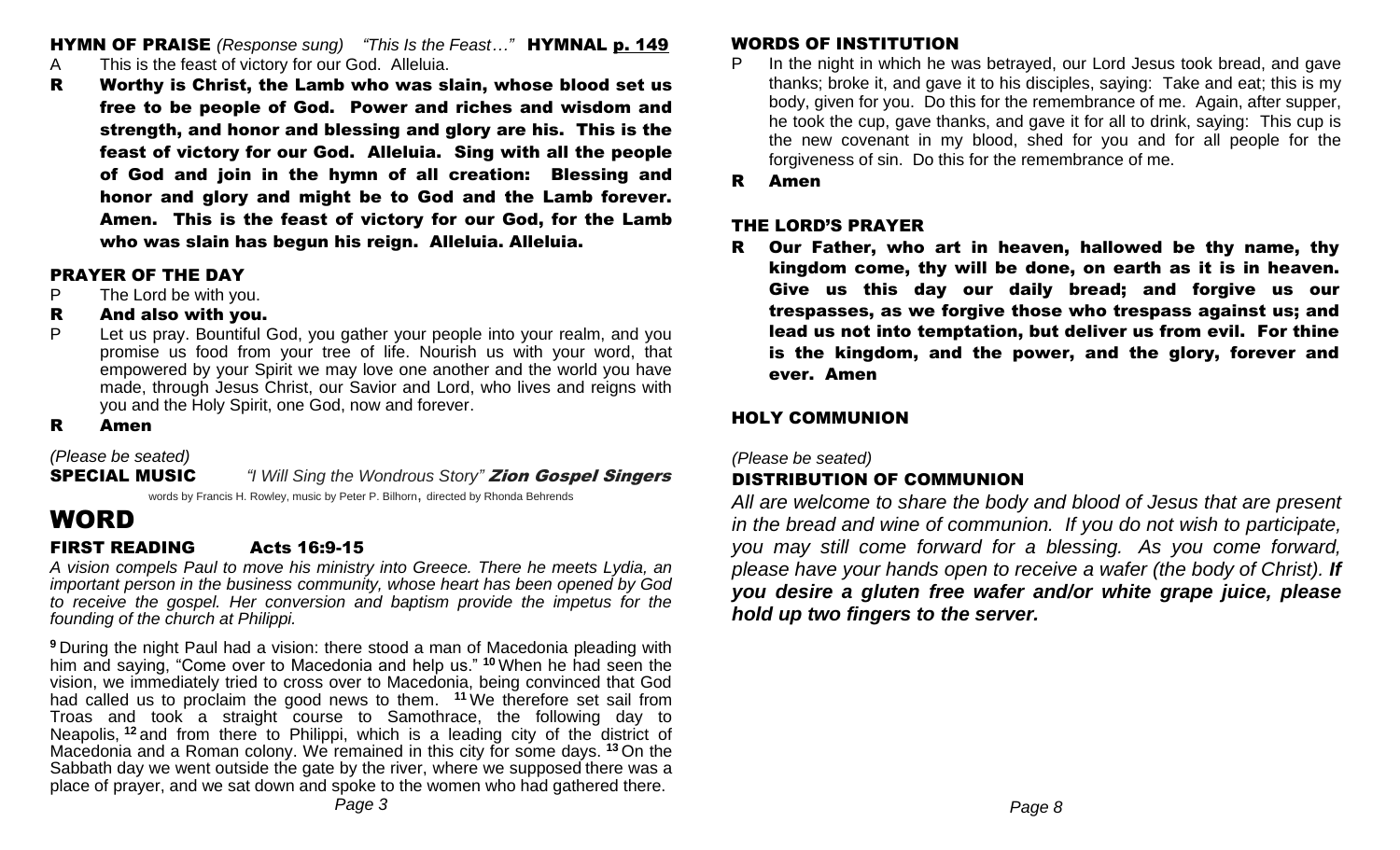HYMN OF PRAISE *(Response sung) "This Is the Feast…"* HYMNAL p. 149

- A This is the feast of victory for our God. Alleluia.
- R Worthy is Christ, the Lamb who was slain, whose blood set us free to be people of God. Power and riches and wisdom and strength, and honor and blessing and glory are his. This is the feast of victory for our God. Alleluia. Sing with all the people of God and join in the hymn of all creation: Blessing and honor and glory and might be to God and the Lamb forever. Amen. This is the feast of victory for our God, for the Lamb who was slain has begun his reign. Alleluia. Alleluia.

# PRAYER OF THE DAY

P The Lord be with you.

# R And also with you.

P Let us pray. Bountiful God, you gather your people into your realm, and you promise us food from your tree of life. Nourish us with your word, that empowered by your Spirit we may love one another and the world you have made, through Jesus Christ, our Savior and Lord, who lives and reigns with you and the Holy Spirit, one God, now and forever.

# R Amen

# *(Please be seated)*

# SPECIAL MUSIC *"I Will Sing the Wondrous Story"* Zion Gospel Singers

words by Francis H. Rowley, music by Peter P. Bilhorn, directed by Rhonda Behrends

# WORD

# FIRST READING Acts 16:9-15

*A vision compels Paul to move his ministry into Greece. There he meets Lydia, an important person in the business community, whose heart has been opened by God to receive the gospel. Her conversion and baptism provide the impetus for the founding of the church at Philippi.*

**<sup>9</sup>** During the night Paul had a vision: there stood a man of Macedonia pleading with him and saying, "Come over to Macedonia and help us." **<sup>10</sup>** When he had seen the vision, we immediately tried to cross over to Macedonia, being convinced that God had called us to proclaim the good news to them. **<sup>11</sup>** We therefore set sail from Troas and took a straight course to Samothrace, the following day to Neapolis, **<sup>12</sup>** and from there to Philippi, which is a leading city of the district of Macedonia and a Roman colony. We remained in this city for some days. **<sup>13</sup>** On the Sabbath day we went outside the gate by the river, where we supposed there was a place of prayer, and we sat down and spoke to the women who had gathered there.

# WORDS OF INSTITUTION

- P In the night in which he was betrayed, our Lord Jesus took bread, and gave thanks; broke it, and gave it to his disciples, saying: Take and eat; this is my body, given for you. Do this for the remembrance of me. Again, after supper, he took the cup, gave thanks, and gave it for all to drink, saying: This cup is the new covenant in my blood, shed for you and for all people for the forgiveness of sin. Do this for the remembrance of me.
- R Amen

# THE LORD'S PRAYER

R Our Father, who art in heaven, hallowed be thy name, thy kingdom come, thy will be done, on earth as it is in heaven. Give us this day our daily bread; and forgive us our trespasses, as we forgive those who trespass against us; and lead us not into temptation, but deliver us from evil. For thine is the kingdom, and the power, and the glory, forever and ever. Amen

# HOLY COMMUNION

*(Please be seated)*

# DISTRIBUTION OF COMMUNION

*All are welcome to share the body and blood of Jesus that are present in the bread and wine of communion. If you do not wish to participate, you may still come forward for a blessing. As you come forward, please have your hands open to receive a wafer (the body of Christ). If you desire a gluten free wafer and/or white grape juice, please hold up two fingers to the server.*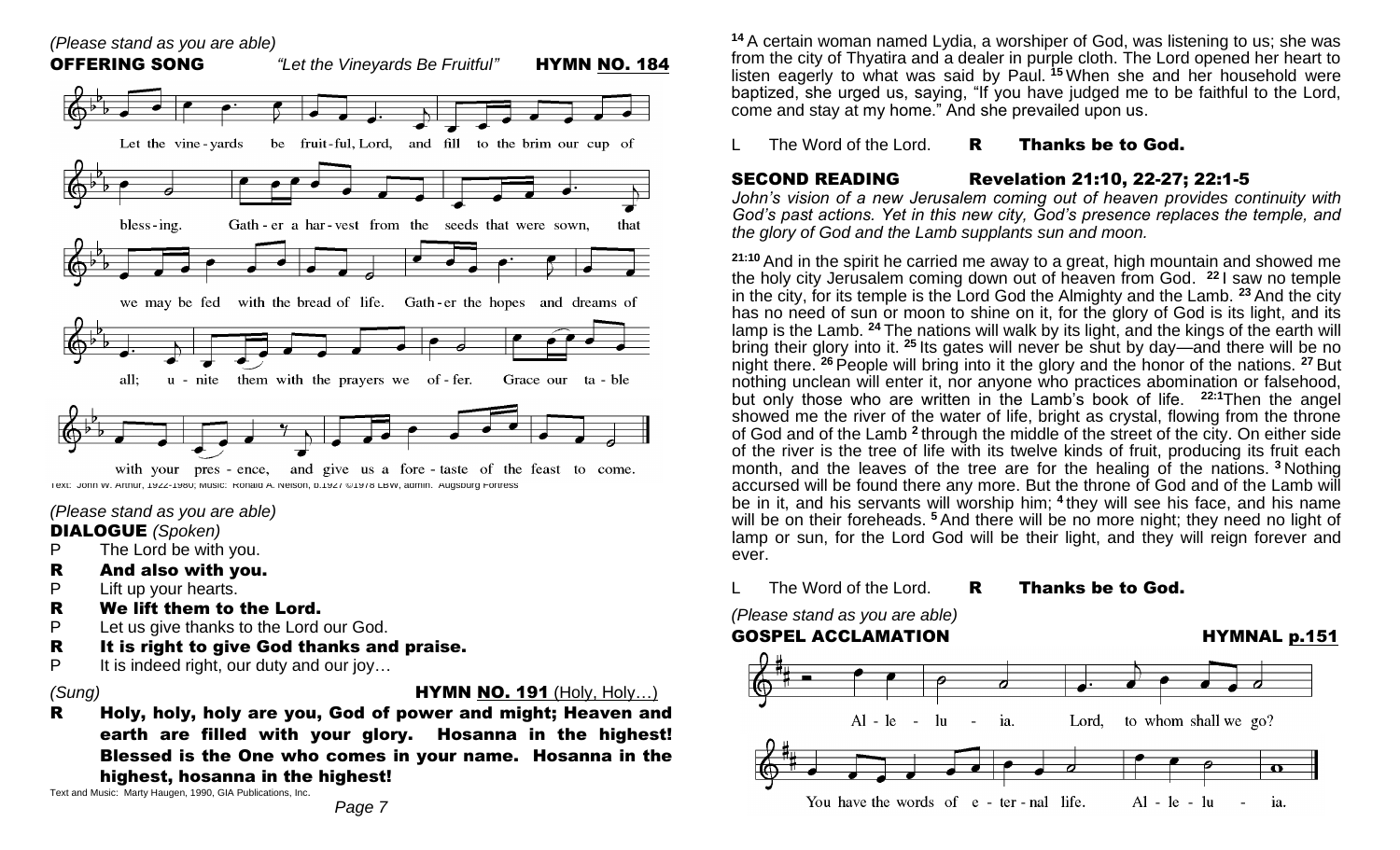

*(Please stand as you are able)* 

#### DIALOGUE *(Spoken)*

- P The Lord be with you.
- R And also with you.
- P Lift up your hearts.
- R We lift them to the Lord.
- P Let us give thanks to the Lord our God.
- R It is right to give God thanks and praise.
- P It is indeed right, our duty and our joy...

*(Sung)* HYMN NO. 191 (Holy, Holy…)

R Holy, holy, holy are you, God of power and might; Heaven and earth are filled with your glory. Hosanna in the highest! Blessed is the One who comes in your name. Hosanna in the highest, hosanna in the highest!

Text and Music: Marty Haugen, 1990, GIA Publications, Inc.

**<sup>14</sup>** A certain woman named Lydia, a worshiper of God, was listening to us; she was from the city of Thyatira and a dealer in purple cloth. The Lord opened her heart to listen eagerly to what was said by Paul. **<sup>15</sup>** When she and her household were baptized, she urged us, saying, "If you have judged me to be faithful to the Lord, come and stay at my home." And she prevailed upon us.

# The Word of the Lord.  $R$  Thanks be to God.

SECOND READING Revelation 21:10, 22-27; 22:1-5

*John's vision of a new Jerusalem coming out of heaven provides continuity with God's past actions. Yet in this new city, God's presence replaces the temple, and the glory of God and the Lamb supplants sun and moon.*

**21:10** And in the spirit he carried me away to a great, high mountain and showed me the holy city Jerusalem coming down out of heaven from God. **<sup>22</sup>** I saw no temple in the city, for its temple is the Lord God the Almighty and the Lamb. **<sup>23</sup>** And the city has no need of sun or moon to shine on it, for the glory of God is its light, and its lamp is the Lamb. **<sup>24</sup>** The nations will walk by its light, and the kings of the earth will bring their glory into it. **<sup>25</sup>** Its gates will never be shut by day—and there will be no night there. **<sup>26</sup>** People will bring into it the glory and the honor of the nations. **<sup>27</sup>** But nothing unclean will enter it, nor anyone who practices abomination or falsehood, but only those who are written in the Lamb's book of life. **22:1**Then the angel showed me the river of the water of life, bright as crystal, flowing from the throne of God and of the Lamb **<sup>2</sup>** through the middle of the street of the city. On either side of the river is the tree of life with its twelve kinds of fruit, producing its fruit each month, and the leaves of the tree are for the healing of the nations. **<sup>3</sup>** Nothing accursed will be found there any more. But the throne of God and of the Lamb will be in it, and his servants will worship him; **<sup>4</sup>** they will see his face, and his name will be on their foreheads. <sup>5</sup> And there will be no more night; they need no light of lamp or sun, for the Lord God will be their light, and they will reign forever and ever.

# The Word of the Lord. R Thanks be to God.

*(Please stand as you are able)*

# GOSPEL ACCLAMATION **HYMNAL p.151**

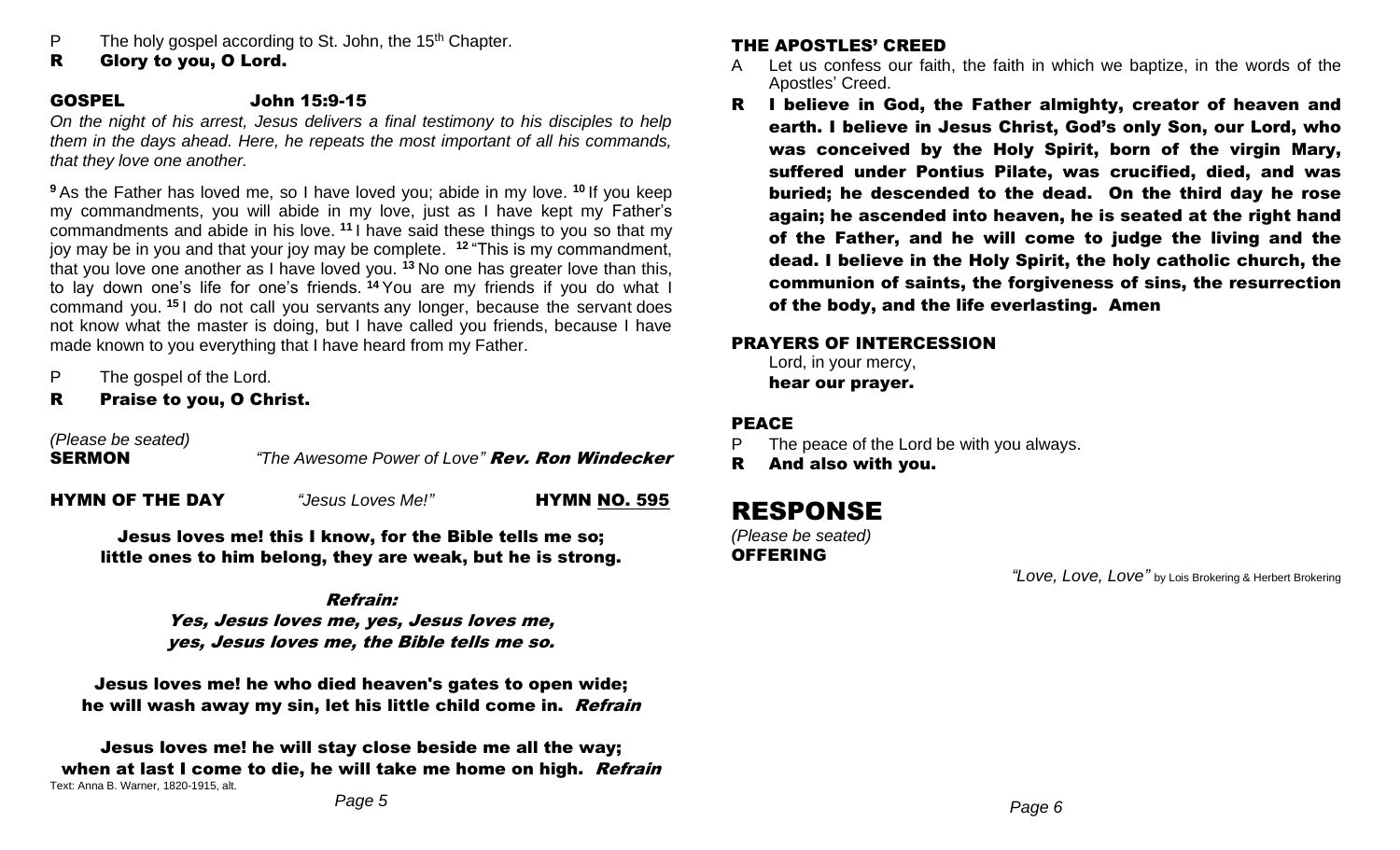- P The holy gospel according to St. John, the 15<sup>th</sup> Chapter.
- R Glory to you, O Lord.

# GOSPEL John 15:9-15

*On the night of his arrest, Jesus delivers a final testimony to his disciples to help them in the days ahead. Here, he repeats the most important of all his commands, that they love one another.*

**<sup>9</sup>** As the Father has loved me, so I have loved you; abide in my love. **<sup>10</sup>** If you keep my commandments, you will abide in my love, just as I have kept my Father's commandments and abide in his love. **<sup>11</sup>** I have said these things to you so that my joy may be in you and that your joy may be complete. **<sup>12</sup>** "This is my commandment, that you love one another as I have loved you. **<sup>13</sup>** No one has greater love than this, to lay down one's life for one's friends. **<sup>14</sup>** You are my friends if you do what I command you. **<sup>15</sup>** I do not call you servants any longer, because the servant does not know what the master is doing, but I have called you friends, because I have made known to you everything that I have heard from my Father.

- P The gospel of the Lord.
- R Praise to you, O Christ.

*(Please be seated)*

SERMON *"The Awesome Power of Love"* Rev. Ron Windecker

HYMN OF THE DAY *"Jesus Loves Me!"* HYMN NO. 595

Jesus loves me! this I know, for the Bible tells me so; little ones to him belong, they are weak, but he is strong.

# Refrain:

Yes, Jesus loves me, yes, Jesus loves me, yes, Jesus loves me, the Bible tells me so.

Jesus loves me! he who died heaven's gates to open wide; he will wash away my sin, let his little child come in. Refrain

Jesus loves me! he will stay close beside me all the way; when at last I come to die, he will take me home on high. Refrain Text: Anna B. Warner, 1820-1915, alt.

# THE APOSTLES' CREED

- A Let us confess our faith, the faith in which we baptize, in the words of the Apostles' Creed.
- R I believe in God, the Father almighty, creator of heaven and earth. I believe in Jesus Christ, God's only Son, our Lord, who was conceived by the Holy Spirit, born of the virgin Mary, suffered under Pontius Pilate, was crucified, died, and was buried; he descended to the dead. On the third day he rose again; he ascended into heaven, he is seated at the right hand of the Father, and he will come to judge the living and the dead. I believe in the Holy Spirit, the holy catholic church, the communion of saints, the forgiveness of sins, the resurrection of the body, and the life everlasting. Amen

# PRAYERS OF INTERCESSION

Lord, in your mercy, hear our prayer.

# PEACE

- P The peace of the Lord be with you always.
- R And also with you.

# RESPONSE

*(Please be seated)*  OFFERING

*"Love, Love, Love"* by Lois Brokering & Herbert Brokering